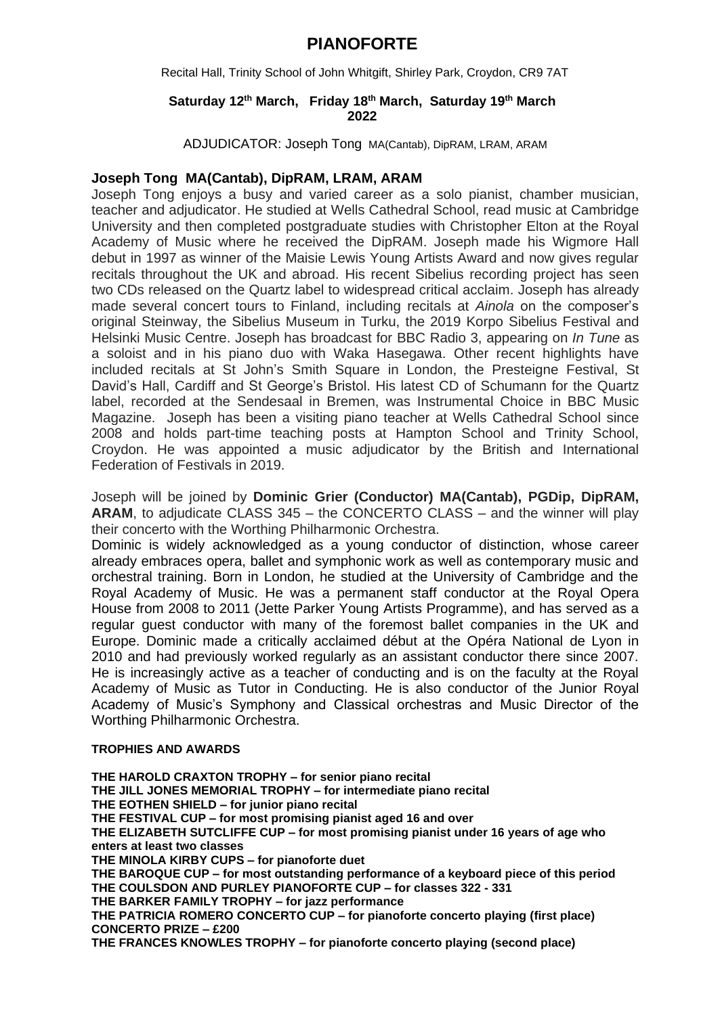### **PIANOFORTE**

Recital Hall, Trinity School of John Whitgift, Shirley Park, Croydon, CR9 7AT

#### **Saturday 12th March, Friday 18th March, Saturday 19th March 2022**

ADJUDICATOR: Joseph Tong MA(Cantab), DipRAM, LRAM, ARAM

#### **Joseph Tong MA(Cantab), DipRAM, LRAM, ARAM**

Joseph Tong enjoys a busy and varied career as a solo pianist, chamber musician, teacher and adjudicator. He studied at Wells Cathedral School, read music at Cambridge University and then completed postgraduate studies with Christopher Elton at the Royal Academy of Music where he received the DipRAM. Joseph made his Wigmore Hall debut in 1997 as winner of the Maisie Lewis Young Artists Award and now gives regular recitals throughout the UK and abroad. His recent Sibelius recording project has seen two CDs released on the Quartz label to widespread critical acclaim. Joseph has already made several concert tours to Finland, including recitals at *Ainola* on the composer's original Steinway, the Sibelius Museum in Turku, the 2019 Korpo Sibelius Festival and Helsinki Music Centre. Joseph has broadcast for BBC Radio 3, appearing on *In Tune* as a soloist and in his piano duo with Waka Hasegawa. Other recent highlights have included recitals at St John's Smith Square in London, the Presteigne Festival, St David's Hall, Cardiff and St George's Bristol. His latest CD of Schumann for the Quartz label, recorded at the Sendesaal in Bremen, was Instrumental Choice in BBC Music Magazine. Joseph has been a visiting piano teacher at Wells Cathedral School since 2008 and holds part-time teaching posts at Hampton School and Trinity School, Croydon. He was appointed a music adjudicator by the British and International Federation of Festivals in 2019.

Joseph will be joined by **Dominic Grier (Conductor) MA(Cantab), PGDip, DipRAM, ARAM**, to adjudicate CLASS 345 – the CONCERTO CLASS – and the winner will play their concerto with the Worthing Philharmonic Orchestra.

Dominic is widely acknowledged as a young conductor of distinction, whose career already embraces opera, ballet and symphonic work as well as contemporary music and orchestral training. Born in London, he studied at the University of Cambridge and the Royal Academy of Music. He was a permanent staff conductor at the Royal Opera House from 2008 to 2011 (Jette Parker Young Artists Programme), and has served as a regular guest conductor with many of the foremost ballet companies in the UK and Europe. Dominic made a critically acclaimed début at the Opéra National de Lyon in 2010 and had previously worked regularly as an assistant conductor there since 2007. He is increasingly active as a teacher of conducting and is on the faculty at the Royal Academy of Music as Tutor in Conducting. He is also conductor of the Junior Royal Academy of Music's Symphony and Classical orchestras and Music Director of the Worthing Philharmonic Orchestra.

#### **TROPHIES AND AWARDS**

**THE HAROLD CRAXTON TROPHY – for senior piano recital THE JILL JONES MEMORIAL TROPHY – for intermediate piano recital THE EOTHEN SHIELD – for junior piano recital THE FESTIVAL CUP – for most promising pianist aged 16 and over THE ELIZABETH SUTCLIFFE CUP – for most promising pianist under 16 years of age who enters at least two classes THE MINOLA KIRBY CUPS – for pianoforte duet THE BAROQUE CUP – for most outstanding performance of a keyboard piece of this period THE COULSDON AND PURLEY PIANOFORTE CUP – for classes 322 - 331 THE BARKER FAMILY TROPHY – for jazz performance THE PATRICIA ROMERO CONCERTO CUP – for pianoforte concerto playing (first place) CONCERTO PRIZE – £200 THE FRANCES KNOWLES TROPHY – for pianoforte concerto playing (second place)**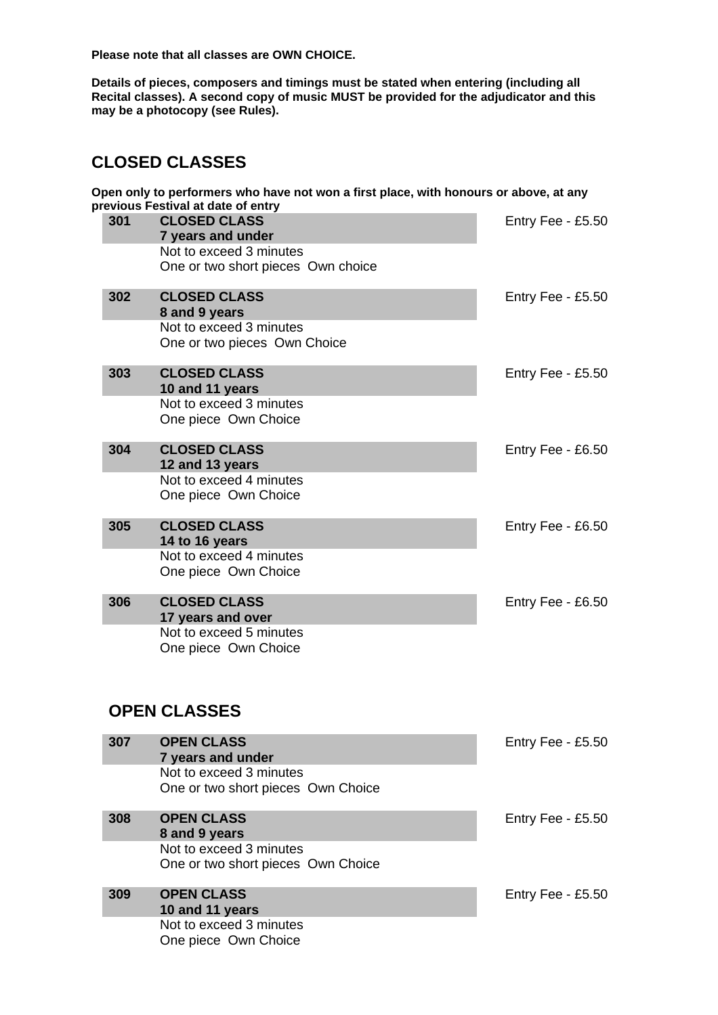**Please note that all classes are OWN CHOICE.**

**Details of pieces, composers and timings must be stated when entering (including all Recital classes). A second copy of music MUST be provided for the adjudicator and this may be a photocopy (see Rules).**

## **CLOSED CLASSES**

**Open only to performers who have not won a first place, with honours or above, at any previous Festival at date of entry**

|  |     | GVIOUS I CSUVAI AL UALC OF CHU Y   |                     |
|--|-----|------------------------------------|---------------------|
|  | 301 | <b>CLOSED CLASS</b>                | Entry Fee - $£5.50$ |
|  |     | 7 years and under                  |                     |
|  |     | Not to exceed 3 minutes            |                     |
|  |     | One or two short pieces Own choice |                     |
|  |     |                                    |                     |
|  | 302 | <b>CLOSED CLASS</b>                | Entry Fee - $£5.50$ |
|  |     | 8 and 9 years                      |                     |
|  |     | Not to exceed 3 minutes            |                     |
|  |     | One or two pieces Own Choice       |                     |
|  |     |                                    |                     |
|  | 303 | <b>CLOSED CLASS</b>                | Entry Fee - $£5.50$ |
|  |     | 10 and 11 years                    |                     |
|  |     | Not to exceed 3 minutes            |                     |
|  |     | One piece Own Choice               |                     |
|  |     |                                    |                     |
|  | 304 | <b>CLOSED CLASS</b>                | Entry Fee - $£6.50$ |
|  |     | 12 and 13 years                    |                     |
|  |     | Not to exceed 4 minutes            |                     |
|  |     | One piece Own Choice               |                     |
|  |     |                                    |                     |
|  | 305 | <b>CLOSED CLASS</b>                | Entry Fee - $£6.50$ |
|  |     | 14 to 16 years                     |                     |
|  |     | Not to exceed 4 minutes            |                     |
|  |     | One piece Own Choice               |                     |
|  |     |                                    |                     |
|  | 306 | <b>CLOSED CLASS</b>                | Entry Fee - $£6.50$ |
|  |     | 17 years and over                  |                     |
|  |     | Not to exceed 5 minutes            |                     |
|  |     | One piece Own Choice               |                     |
|  |     |                                    |                     |
|  |     |                                    |                     |

## **OPEN CLASSES**

| 307 | <b>OPEN CLASS</b><br>7 years and under<br>Not to exceed 3 minutes<br>One or two short pieces Own Choice | Entry Fee - £5.50   |
|-----|---------------------------------------------------------------------------------------------------------|---------------------|
|     |                                                                                                         |                     |
| 308 | <b>OPEN CLASS</b><br>8 and 9 years                                                                      | Entry Fee $-$ £5.50 |
|     | Not to exceed 3 minutes<br>One or two short pieces Own Choice                                           |                     |
| 309 | <b>OPEN CLASS</b><br>10 and 11 years                                                                    | Entry Fee - £5.50   |
|     | Not to exceed 3 minutes<br>One piece Own Choice                                                         |                     |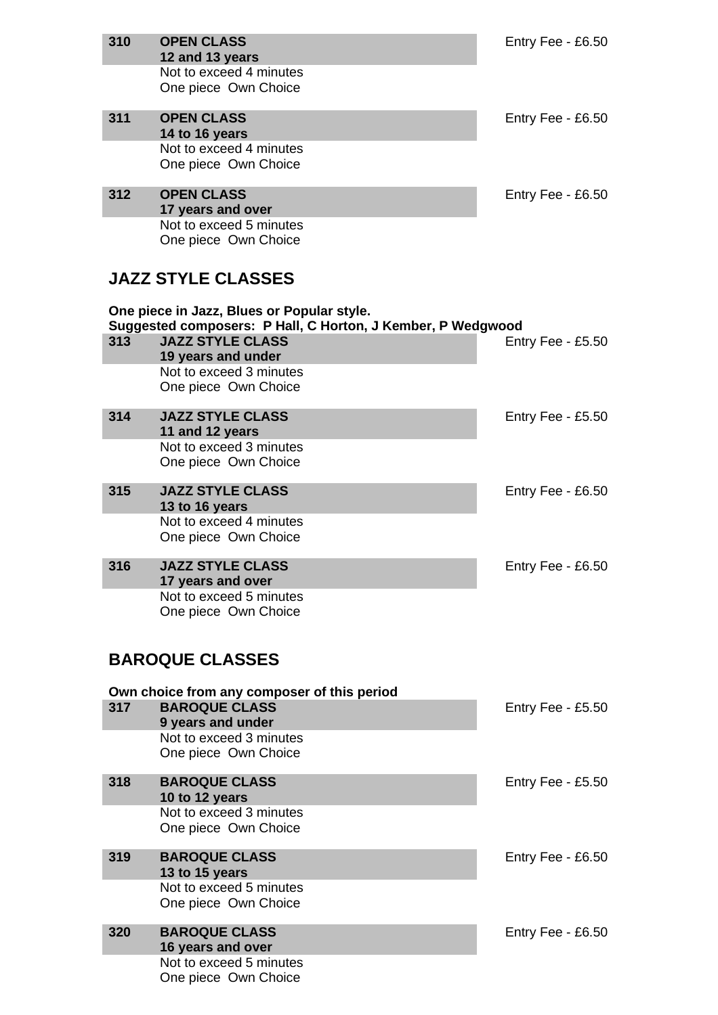| 310 | <b>OPEN CLASS</b>                                                                                         | Entry Fee - £6.50   |
|-----|-----------------------------------------------------------------------------------------------------------|---------------------|
|     | 12 and 13 years                                                                                           |                     |
|     | Not to exceed 4 minutes<br>One piece Own Choice                                                           |                     |
|     |                                                                                                           |                     |
| 311 | <b>OPEN CLASS</b><br>14 to 16 years                                                                       | Entry Fee - £6.50   |
|     | Not to exceed 4 minutes                                                                                   |                     |
|     | One piece Own Choice                                                                                      |                     |
| 312 | <b>OPEN CLASS</b>                                                                                         | Entry Fee - $£6.50$ |
|     | 17 years and over                                                                                         |                     |
|     | Not to exceed 5 minutes                                                                                   |                     |
|     | One piece Own Choice                                                                                      |                     |
|     | <b>JAZZ STYLE CLASSES</b>                                                                                 |                     |
|     |                                                                                                           |                     |
|     | One piece in Jazz, Blues or Popular style.<br>Suggested composers: P Hall, C Horton, J Kember, P Wedgwood |                     |
| 313 | <b>JAZZ STYLE CLASS</b>                                                                                   | Entry Fee - £5.50   |
|     | 19 years and under                                                                                        |                     |
|     | Not to exceed 3 minutes<br>One piece Own Choice                                                           |                     |
|     |                                                                                                           |                     |
| 314 | <b>JAZZ STYLE CLASS</b>                                                                                   | Entry Fee - £5.50   |
|     | 11 and 12 years<br>Not to exceed 3 minutes                                                                |                     |
|     | One piece Own Choice                                                                                      |                     |
| 315 | <b>JAZZ STYLE CLASS</b>                                                                                   | Entry Fee - £6.50   |
|     | 13 to 16 years                                                                                            |                     |
|     | Not to exceed 4 minutes                                                                                   |                     |
|     | One piece Own Choice                                                                                      |                     |
| 316 | <b>JAZZ STYLE CLASS</b><br>17 years and over                                                              | Entry Fee - £6.50   |
|     | Not to exceed 5 minutes                                                                                   |                     |
|     | One piece Own Choice                                                                                      |                     |
|     |                                                                                                           |                     |
|     | <b>BAROQUE CLASSES</b>                                                                                    |                     |
|     | Own choice from any composer of this period                                                               |                     |
| 317 | <b>BAROQUE CLASS</b>                                                                                      | Entry Fee - £5.50   |
|     | 9 years and under                                                                                         |                     |
|     | Not to exceed 3 minutes<br>One piece Own Choice                                                           |                     |
|     |                                                                                                           |                     |
| 318 | <b>BAROQUE CLASS</b><br>10 to 12 years                                                                    | Entry Fee - $£5.50$ |
|     | Not to exceed 3 minutes                                                                                   |                     |
|     | One piece Own Choice                                                                                      |                     |
| 319 | <b>BAROQUE CLASS</b>                                                                                      | Entry Fee - $£6.50$ |
|     | 13 to 15 years                                                                                            |                     |
|     | Not to exceed 5 minutes<br>One piece Own Choice                                                           |                     |
|     |                                                                                                           |                     |
| 320 | <b>BAROQUE CLASS</b>                                                                                      | Entry Fee - £6.50   |
|     | 16 years and over<br>Not to exceed 5 minutes                                                              |                     |
|     | One piece Own Choice                                                                                      |                     |
|     |                                                                                                           |                     |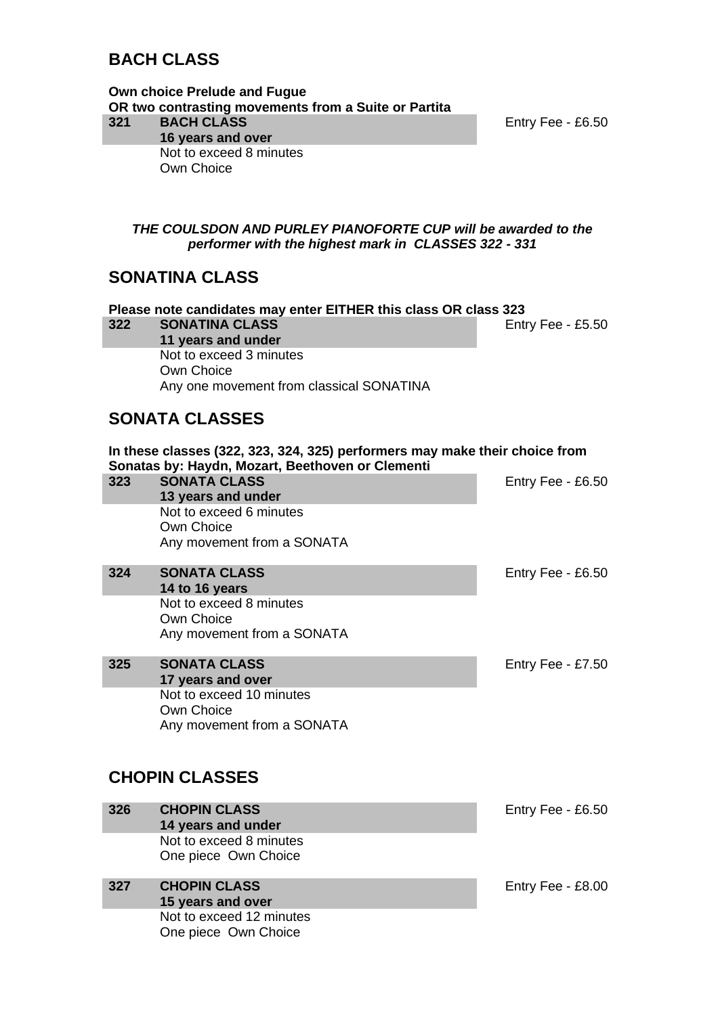## **BACH CLASS**

**Own choice Prelude and Fugue OR two contrasting movements from a Suite or Partita 321 BACH CLASS 16 years and over**

Not to exceed 8 minutes Own Choice

One piece Own Choice

Entry Fee - £6.50

*THE COULSDON AND PURLEY PIANOFORTE CUP will be awarded to the performer with the highest mark in CLASSES 322 - 331*

### **SONATINA CLASS**

**Please note candidates may enter EITHER this class OR class 323 322 SONATINA CLASS 11 years and under** Entry Fee - £5.50 Not to exceed 3 minutes Own Choice Any one movement from classical SONATINA **SONATA CLASSES In these classes (322, 323, 324, 325) performers may make their choice from Sonatas by: Haydn, Mozart, Beethoven or Clementi 323 SONATA CLASS 13 years and under** Entry Fee - £6.50 Not to exceed 6 minutes Own Choice Any movement from a SONATA **324 SONATA CLASS 14 to 16 years** Entry Fee - £6.50 Not to exceed 8 minutes Own Choice Any movement from a SONATA **325 SONATA CLASS 17 years and over** Entry Fee - £7.50 Not to exceed 10 minutes Own Choice Any movement from a SONATA **CHOPIN CLASSES 326 CHOPIN CLASS 14 years and under** Entry Fee - £6.50 Not to exceed 8 minutes One piece Own Choice **327 CHOPIN CLASS 15 years and over** Entry Fee - £8.00 Not to exceed 12 minutes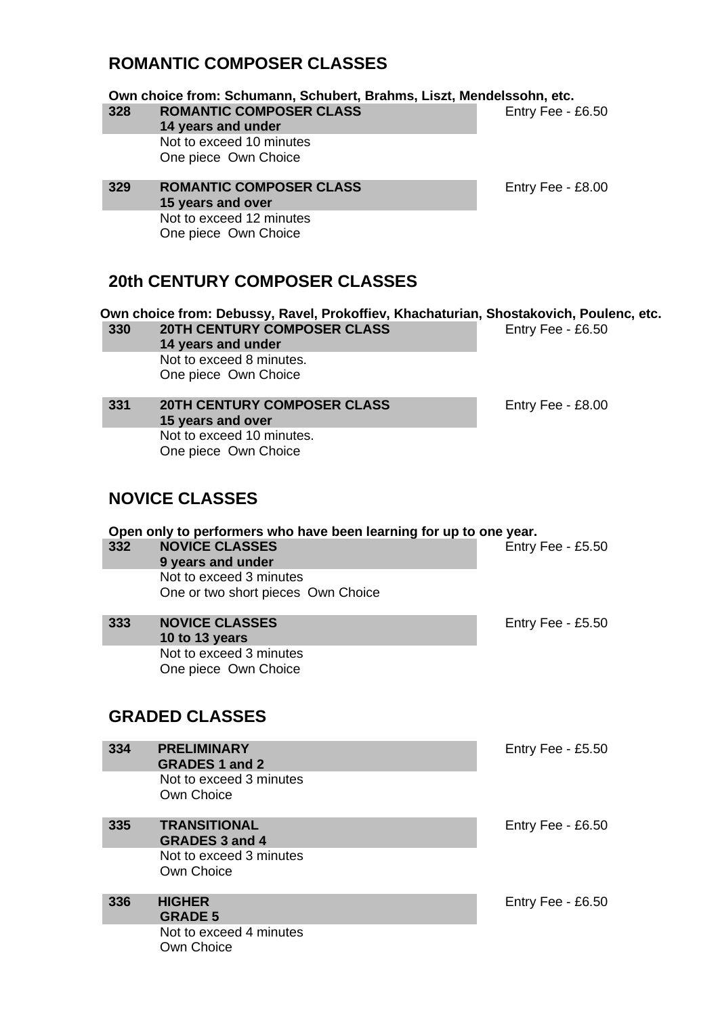## **ROMANTIC COMPOSER CLASSES**

**Own choice from: Schumann, Schubert, Brahms, Liszt, Mendelssohn, etc.**

- **328 ROMANTIC COMPOSER CLASS 14 years and under** Not to exceed 10 minutes One piece Own Choice
- **329 ROMANTIC COMPOSER CLASS 15 years and over** Not to exceed 12 minutes One piece Own Choice

### **20th CENTURY COMPOSER CLASSES**

**Own choice from: Debussy, Ravel, Prokoffiev, Khachaturian, Shostakovich, Poulenc, etc. 330 20TH CENTURY COMPOSER CLASS**  Entry Fee - £6.50

**14 years and under** Not to exceed 8 minutes. One piece Own Choice

**331 20TH CENTURY COMPOSER CLASS 15 years and over** Not to exceed 10 minutes. One piece Own Choice

# **NOVICE CLASSES**

#### **Open only to performers who have been learning for up to one year.**<br>332 MOVICE CLASSES **332 NOVICE CLASSES 9 years and under** Entry Fee - £5.50 Not to exceed 3 minutes One or two short pieces Own Choice **333 NOVICE CLASSES 10 to 13 years** Entry Fee - £5.50 Not to exceed 3 minutes One piece Own Choice **GRADED CLASSES 334 PRELIMINARY**  Entry Fee - £5.50

|     | <b>GRADES 1 and 2</b>                        |                   |
|-----|----------------------------------------------|-------------------|
|     | Not to exceed 3 minutes<br>Own Choice        |                   |
| 335 | <b>TRANSITIONAL</b><br><b>GRADES 3 and 4</b> | Entry Fee - £6.50 |
|     | Not to exceed 3 minutes<br>Own Choice        |                   |
| 336 | <b>HIGHER</b><br><b>GRADE 5</b>              | Entry Fee - £6.50 |
|     | Not to exceed 4 minutes<br>Own Choice        |                   |

Entry Fee - £8.00

Entry Fee - £8.00

Entry Fee - £6.50